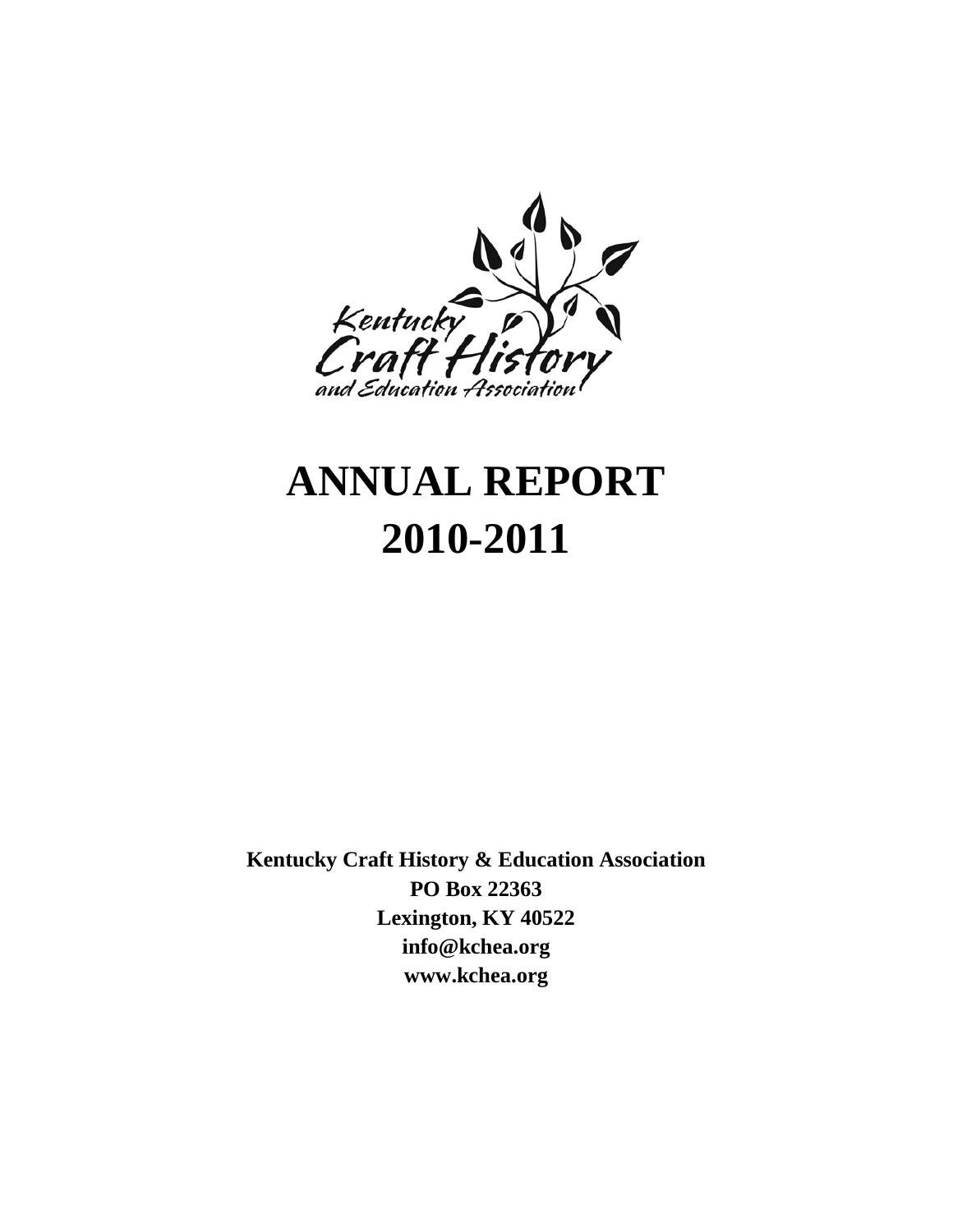

# **ANNUAL REPORT 2010-2011**

**Kentucky Craft History & Education Association PO Box 22363 Lexington, KY 40522 info@kchea.org www.kchea.org**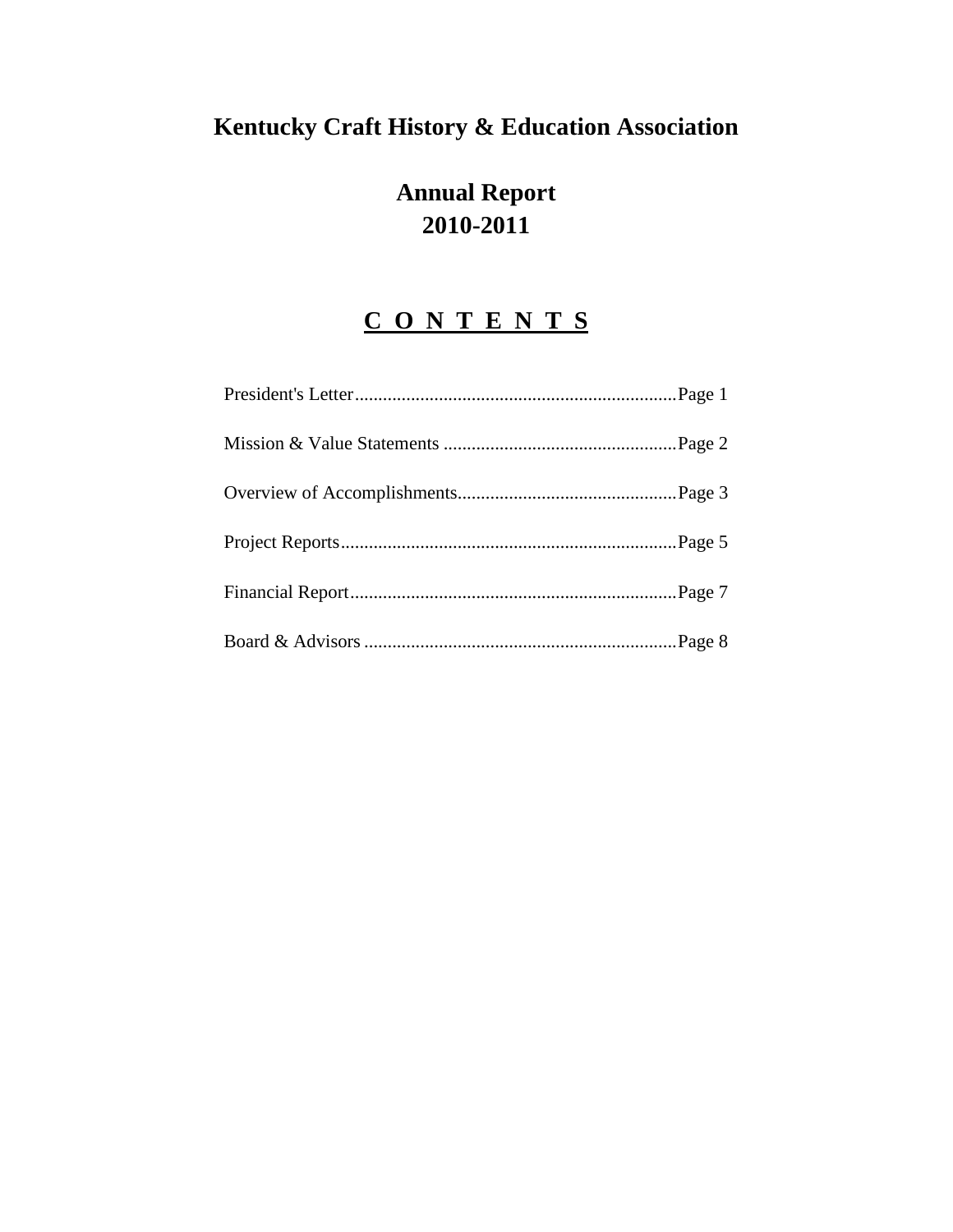# **Kentucky Craft History & Education Association**

# **Annual Report 2010-2011**

# **C O N T E N T S**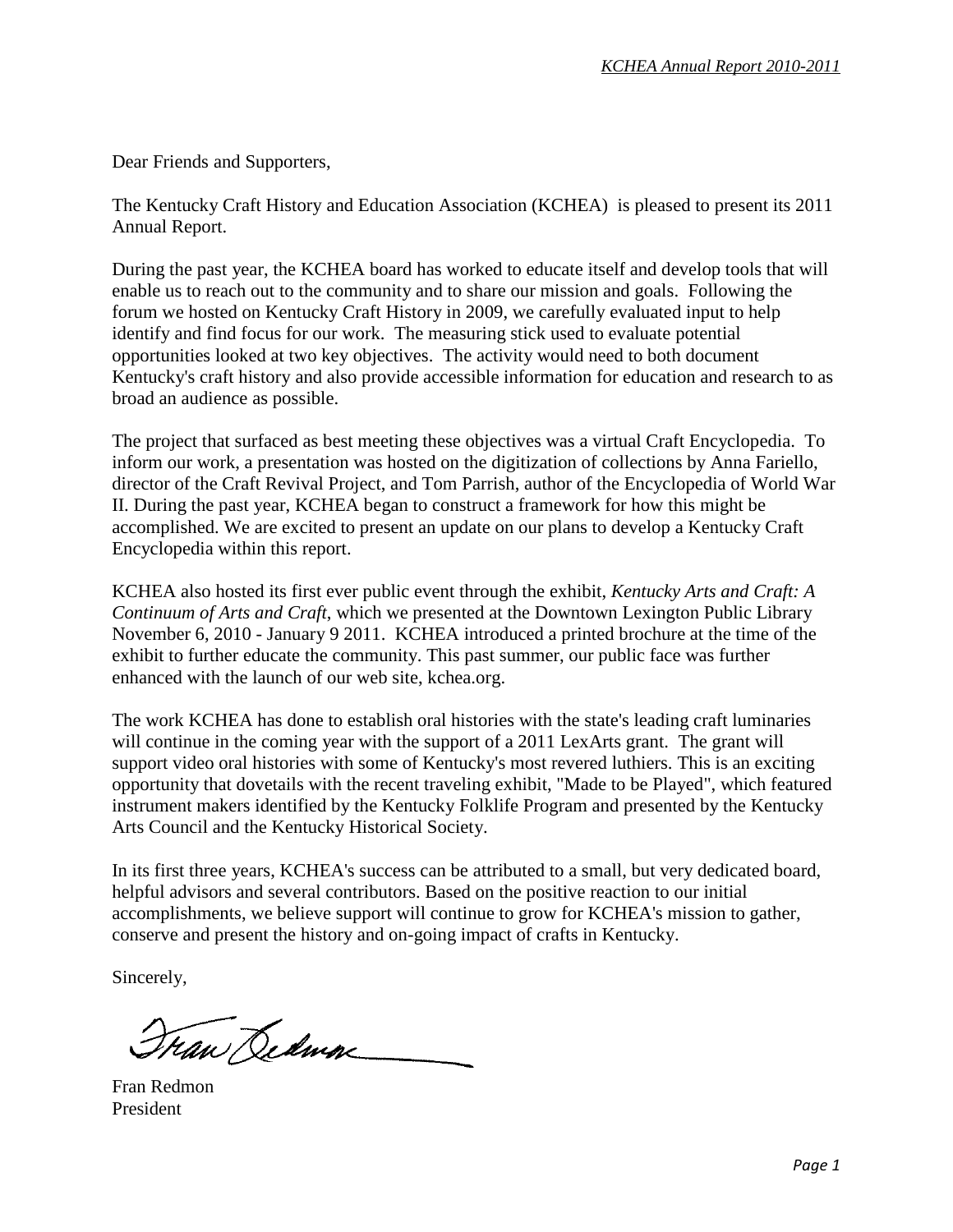Dear Friends and Supporters,

The Kentucky Craft History and Education Association (KCHEA) is pleased to present its 2011 Annual Report.

During the past year, the KCHEA board has worked to educate itself and develop tools that will enable us to reach out to the community and to share our mission and goals. Following the forum we hosted on Kentucky Craft History in 2009, we carefully evaluated input to help identify and find focus for our work. The measuring stick used to evaluate potential opportunities looked at two key objectives. The activity would need to both document Kentucky's craft history and also provide accessible information for education and research to as broad an audience as possible.

The project that surfaced as best meeting these objectives was a virtual Craft Encyclopedia. To inform our work, a presentation was hosted on the digitization of collections by Anna Fariello, director of the Craft Revival Project, and Tom Parrish, author of the Encyclopedia of World War II. During the past year, KCHEA began to construct a framework for how this might be accomplished. We are excited to present an update on our plans to develop a Kentucky Craft Encyclopedia within this report.

KCHEA also hosted its first ever public event through the exhibit, *Kentucky Arts and Craft: A Continuum of Arts and Craft*, which we presented at the Downtown Lexington Public Library November 6, 2010 - January 9 2011. KCHEA introduced a printed brochure at the time of the exhibit to further educate the community. This past summer, our public face was further enhanced with the launch of our web site, kchea.org.

The work KCHEA has done to establish oral histories with the state's leading craft luminaries will continue in the coming year with the support of a 2011 LexArts grant. The grant will support video oral histories with some of Kentucky's most revered luthiers. This is an exciting opportunity that dovetails with the recent traveling exhibit, "Made to be Played", which featured instrument makers identified by the Kentucky Folklife Program and presented by the Kentucky Arts Council and the Kentucky Historical Society.

In its first three years, KCHEA's success can be attributed to a small, but very dedicated board, helpful advisors and several contributors. Based on the positive reaction to our initial accomplishments, we believe support will continue to grow for KCHEA's mission to gather, conserve and present the history and on-going impact of crafts in Kentucky.

Sincerely,

Tran Dedman

Fran Redmon President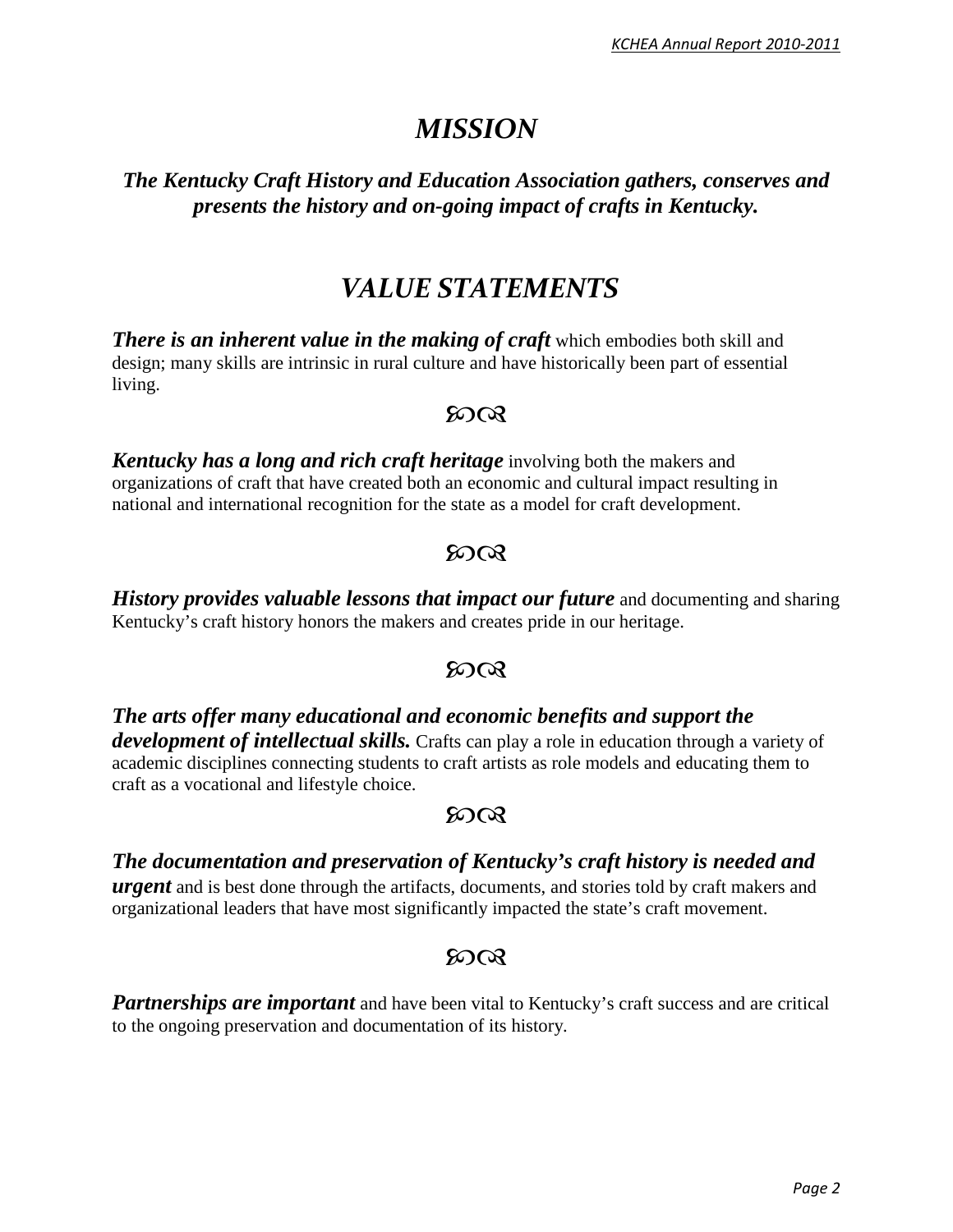# *MISSION*

#### *The Kentucky Craft History and Education Association gathers, conserves and presents the history and on-going impact of crafts in Kentucky.*

# *VALUE STATEMENTS*

*There is an inherent value in the making of craft* **which embodies both skill and** design; many skills are intrinsic in rural culture and have historically been part of essential living.

#### $50Q$

*Kentucky has a long and rich craft heritage* involving both the makers and organizations of craft that have created both an economic and cultural impact resulting in national and international recognition for the state as a model for craft development.

#### $50Q$

*History provides valuable lessons that impact our future* and documenting and sharing Kentucky's craft history honors the makers and creates pride in our heritage.

#### $50Q$

*The arts offer many educational and economic benefits and support the development of intellectual skills.* Crafts can play a role in education through a variety of academic disciplines connecting students to craft artists as role models and educating them to craft as a vocational and lifestyle choice.

#### $50Q$

#### *The documentation and preservation of Kentucky's craft history is needed and*

*urgent* and is best done through the artifacts, documents, and stories told by craft makers and organizational leaders that have most significantly impacted the state's craft movement.

### ഩ൚

**Partnerships are important** and have been vital to Kentucky's craft success and are critical to the ongoing preservation and documentation of its history.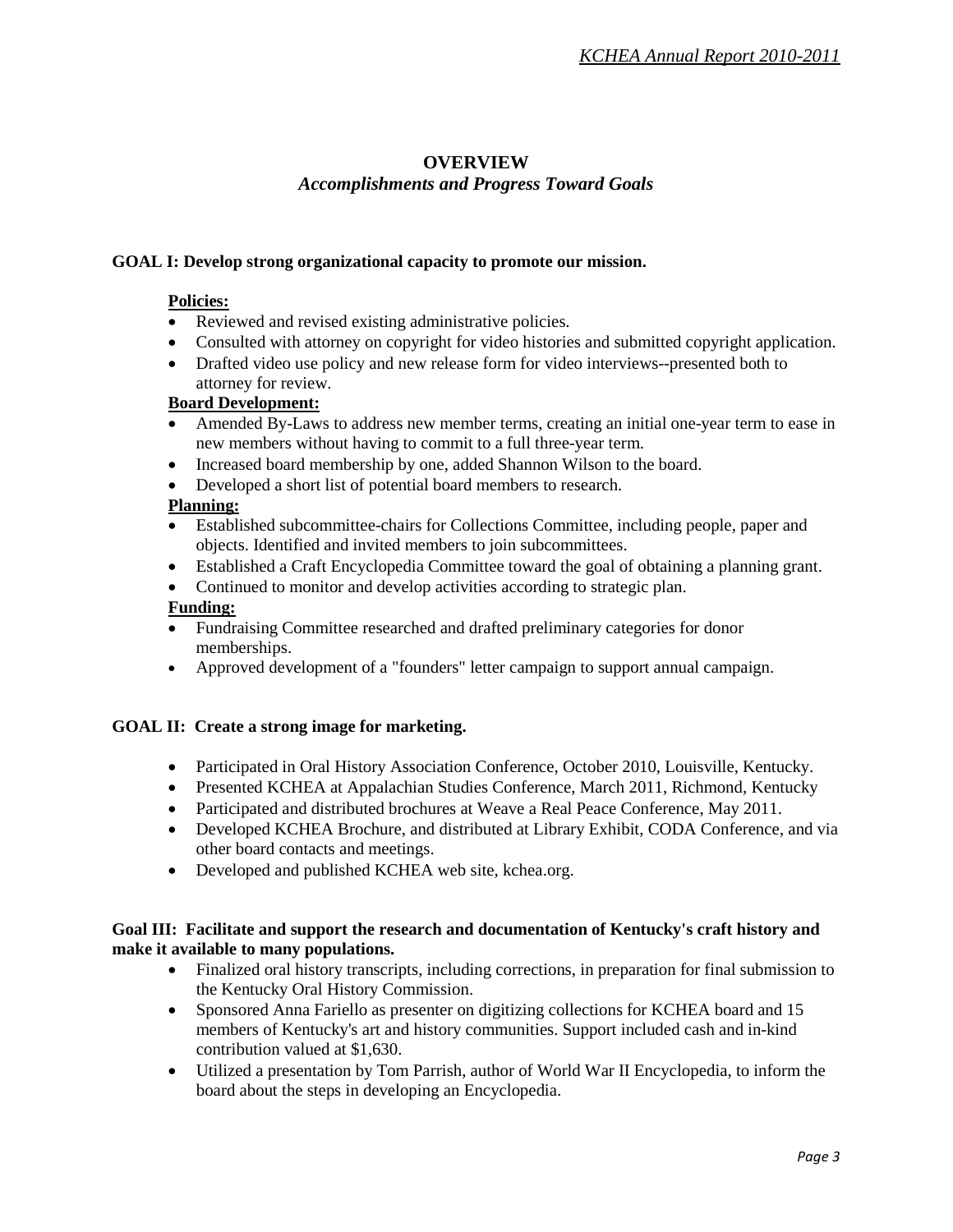#### **OVERVIEW**

#### *Accomplishments and Progress Toward Goals*

#### **GOAL I: Develop strong organizational capacity to promote our mission.**

#### **Policies:**

- Reviewed and revised existing administrative policies.
- Consulted with attorney on copyright for video histories and submitted copyright application.
- Drafted video use policy and new release form for video interviews--presented both to attorney for review.

#### **Board Development:**

- Amended By-Laws to address new member terms, creating an initial one-year term to ease in new members without having to commit to a full three-year term.
- Increased board membership by one, added Shannon Wilson to the board.
- Developed a short list of potential board members to research.

#### **Planning:**

- Established subcommittee-chairs for Collections Committee, including people, paper and objects. Identified and invited members to join subcommittees.
- Established a Craft Encyclopedia Committee toward the goal of obtaining a planning grant.
- Continued to monitor and develop activities according to strategic plan.

#### **Funding:**

- Fundraising Committee researched and drafted preliminary categories for donor memberships.
- Approved development of a "founders" letter campaign to support annual campaign.

#### **GOAL II: Create a strong image for marketing.**

- Participated in Oral History Association Conference, October 2010, Louisville, Kentucky.
- Presented KCHEA at Appalachian Studies Conference, March 2011, Richmond, Kentucky
- Participated and distributed brochures at Weave a Real Peace Conference, May 2011.
- Developed KCHEA Brochure, and distributed at Library Exhibit, CODA Conference, and via other board contacts and meetings.
- Developed and published KCHEA web site, kchea.org.

#### **Goal III: Facilitate and support the research and documentation of Kentucky's craft history and make it available to many populations.**

- Finalized oral history transcripts, including corrections, in preparation for final submission to the Kentucky Oral History Commission.
- Sponsored Anna Fariello as presenter on digitizing collections for KCHEA board and 15 members of Kentucky's art and history communities. Support included cash and in-kind contribution valued at \$1,630.
- Utilized a presentation by Tom Parrish, author of World War II Encyclopedia, to inform the board about the steps in developing an Encyclopedia.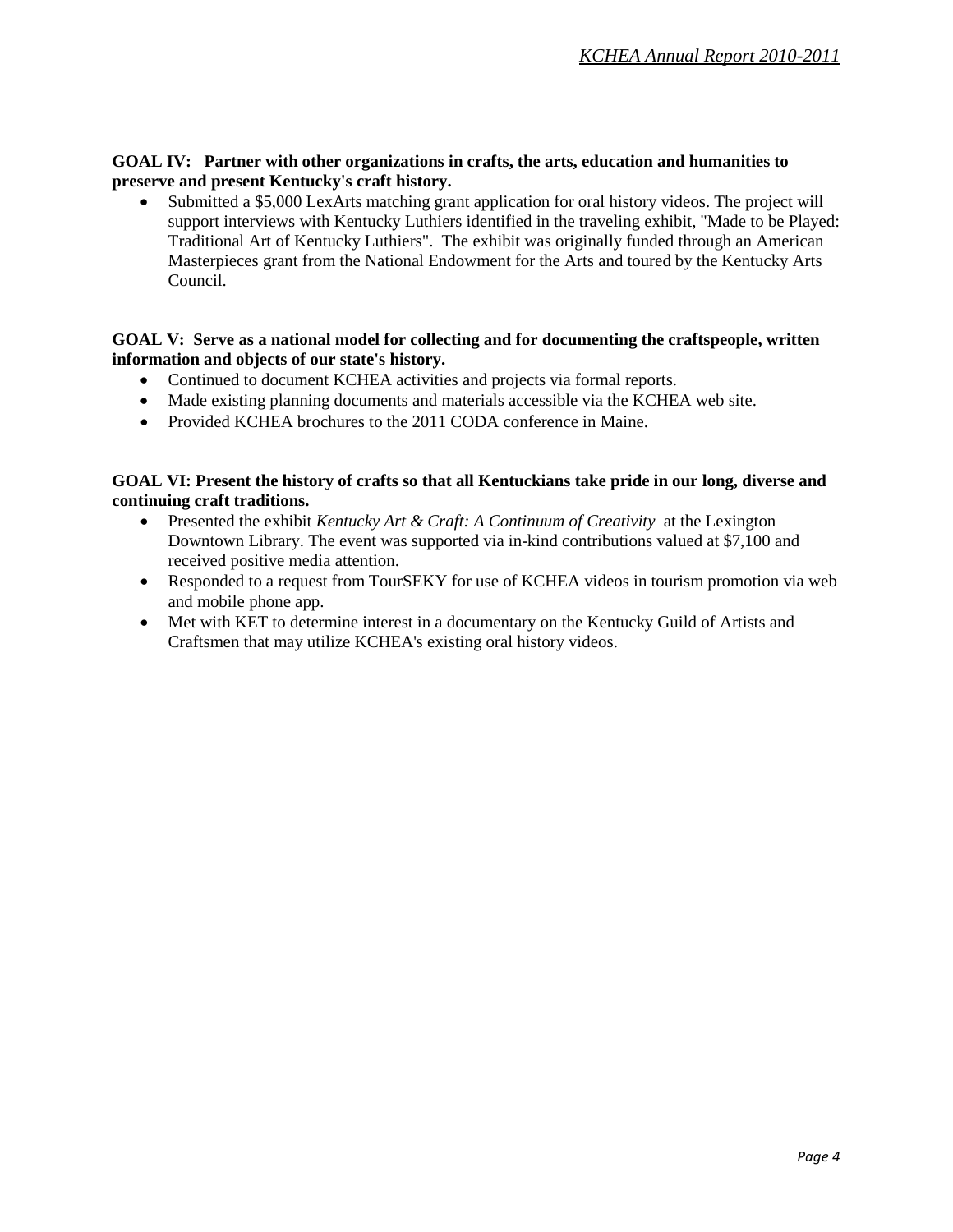#### **GOAL IV: Partner with other organizations in crafts, the arts, education and humanities to preserve and present Kentucky's craft history.**

• Submitted a \$5,000 LexArts matching grant application for oral history videos. The project will support interviews with Kentucky Luthiers identified in the traveling exhibit, "Made to be Played: Traditional Art of Kentucky Luthiers". The exhibit was originally funded through an American Masterpieces grant from the National Endowment for the Arts and toured by the Kentucky Arts Council.

#### **GOAL V: Serve as a national model for collecting and for documenting the craftspeople, written information and objects of our state's history.**

- Continued to document KCHEA activities and projects via formal reports.
- Made existing planning documents and materials accessible via the KCHEA web site.
- Provided KCHEA brochures to the 2011 CODA conference in Maine.

#### **GOAL VI: Present the history of crafts so that all Kentuckians take pride in our long, diverse and continuing craft traditions.**

- Presented the exhibit *Kentucky Art & Craft: A Continuum of Creativity* at the Lexington Downtown Library. The event was supported via in-kind contributions valued at \$7,100 and received positive media attention.
- Responded to a request from TourSEKY for use of KCHEA videos in tourism promotion via web and mobile phone app.
- Met with KET to determine interest in a documentary on the Kentucky Guild of Artists and Craftsmen that may utilize KCHEA's existing oral history videos.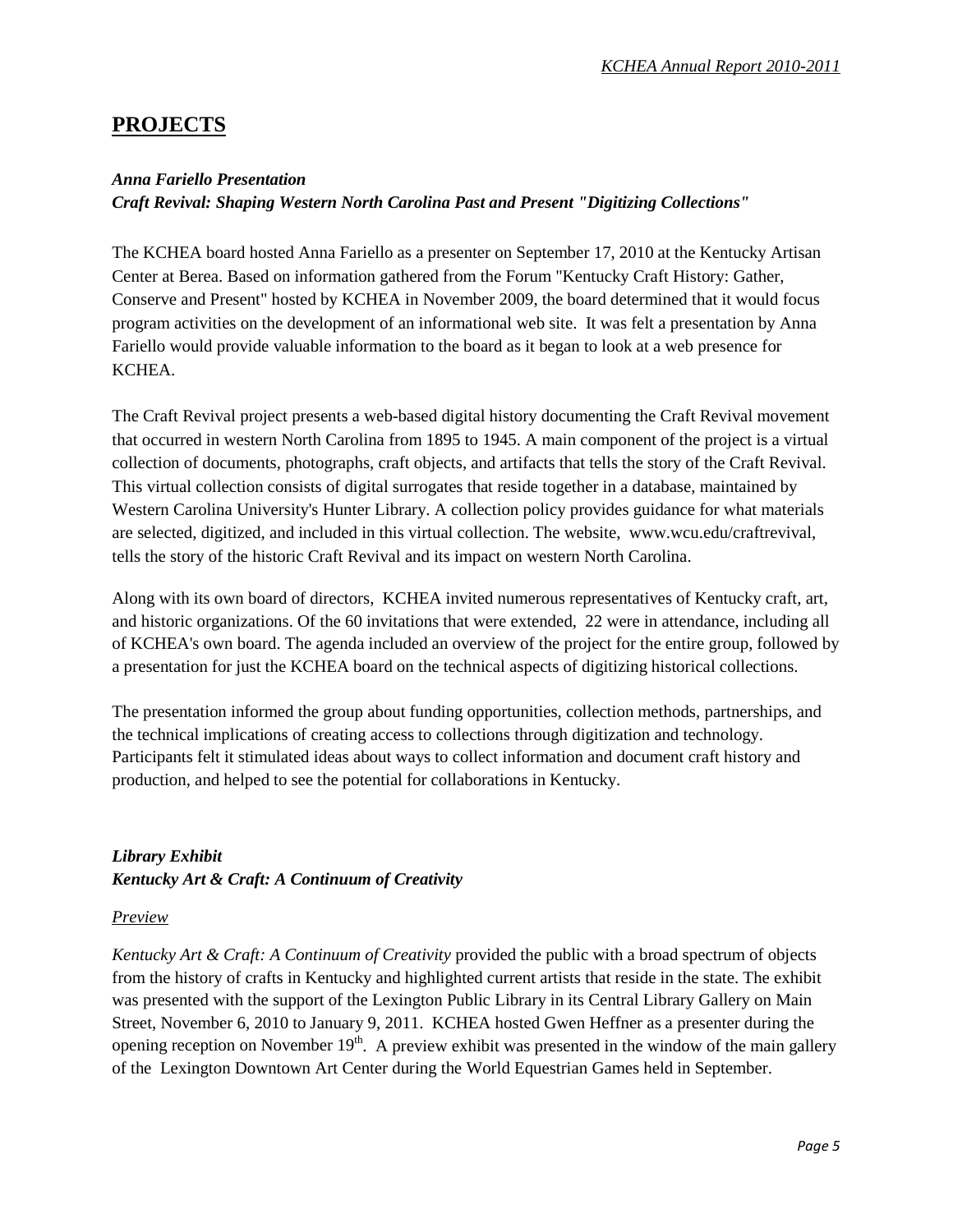#### **PROJECTS**

#### *Anna Fariello Presentation*

*Craft Revival: Shaping Western North Carolina Past and Present "Digitizing Collections"*

The KCHEA board hosted Anna Fariello as a presenter on September 17, 2010 at the Kentucky Artisan Center at Berea. Based on information gathered from the Forum "Kentucky Craft History: Gather, Conserve and Present" hosted by KCHEA in November 2009, the board determined that it would focus program activities on the development of an informational web site. It was felt a presentation by Anna Fariello would provide valuable information to the board as it began to look at a web presence for KCHEA.

The Craft Revival project presents a web-based digital history documenting the Craft Revival movement that occurred in western North Carolina from 1895 to 1945. A main component of the project is a virtual collection of documents, photographs, craft objects, and artifacts that tells the story of the Craft Revival. This [virtual collection](http://wcudigitalcollection.cdmhost.com/cdm4/browse.php?CISOROOT=/p4008coll2) consists of digital surrogates that reside together in a database, maintained by Western Carolina University's Hunter Library. A [collection policy](http://www.wcu.edu/craftrevival/collection/collection_policy.html) provides guidance for what materials are selected, digitized, and included in this virtual collection. The website, www.wcu.edu/craftrevival, tells the story of the historic Craft Revival and its impact on western North Carolina.

Along with its own board of directors, KCHEA invited numerous representatives of Kentucky craft, art, and historic organizations. Of the 60 invitations that were extended, 22 were in attendance, including all of KCHEA's own board. The agenda included an overview of the project for the entire group, followed by a presentation for just the KCHEA board on the technical aspects of digitizing historical collections.

The presentation informed the group about funding opportunities, collection methods, partnerships, and the technical implications of creating access to collections through digitization and technology. Participants felt it stimulated ideas about ways to collect information and document craft history and production, and helped to see the potential for collaborations in Kentucky.

#### *Library Exhibit Kentucky Art & Craft: A Continuum of Creativity*

#### *Preview*

*Kentucky Art & Craft: A Continuum of Creativity* provided the public with a broad spectrum of objects from the history of crafts in Kentucky and highlighted current artists that reside in the state. The exhibit was presented with the support of the Lexington Public Library in its Central Library Gallery on Main Street, November 6, 2010 to January 9, 2011. KCHEA hosted Gwen Heffner as a presenter during the opening reception on November  $19<sup>th</sup>$ . A preview exhibit was presented in the window of the main gallery of the Lexington Downtown Art Center during the World Equestrian Games held in September.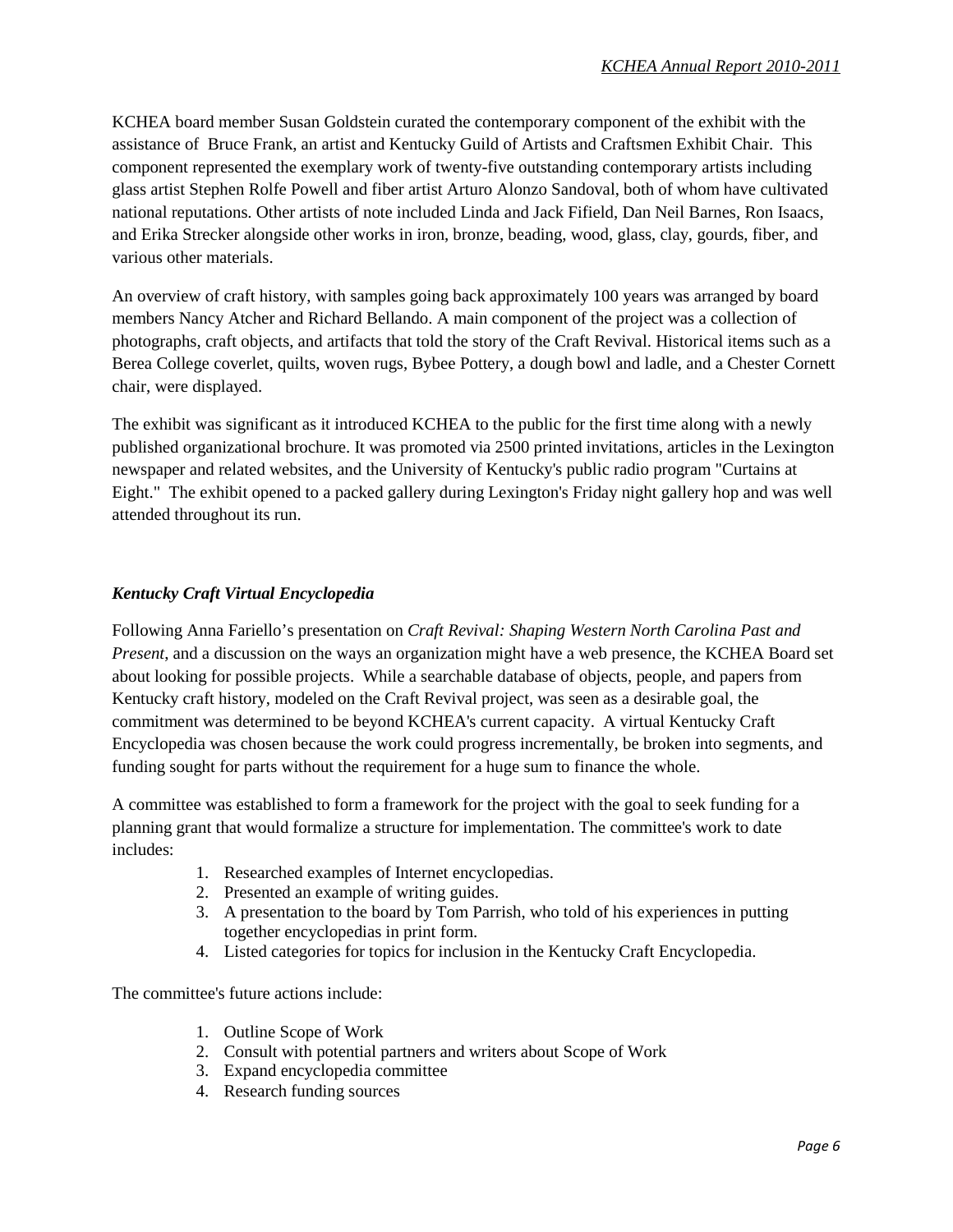KCHEA board member Susan Goldstein curated the contemporary component of the exhibit with the assistance of Bruce Frank, an artist and Kentucky Guild of Artists and Craftsmen Exhibit Chair. This component represented the exemplary work of twenty-five outstanding contemporary artists including glass artist Stephen Rolfe Powell and fiber artist Arturo Alonzo Sandoval, both of whom have cultivated national reputations. Other artists of note included Linda and Jack Fifield, Dan Neil Barnes, Ron Isaacs, and Erika Strecker alongside other works in iron, bronze, beading, wood, glass, clay, gourds, fiber, and various other materials.

An overview of craft history, with samples going back approximately 100 years was arranged by board members Nancy Atcher and Richard Bellando. A main component of the project was a collection of photographs, craft objects, and artifacts that told the story of the Craft Revival. Historical items such as a Berea College coverlet, quilts, woven rugs, Bybee Pottery, a dough bowl and ladle, and a Chester Cornett chair, were displayed.

The exhibit was significant as it introduced KCHEA to the public for the first time along with a newly published organizational brochure. It was promoted via 2500 printed invitations, articles in the Lexington newspaper and related websites, and the University of Kentucky's public radio program "Curtains at Eight." The exhibit opened to a packed gallery during Lexington's Friday night gallery hop and was well attended throughout its run.

#### *Kentucky Craft Virtual Encyclopedia*

Following Anna Fariello's presentation on *Craft Revival: Shaping Western North Carolina Past and Present*, and a discussion on the ways an organization might have a web presence, the KCHEA Board set about looking for possible projects. While a searchable database of objects, people, and papers from Kentucky craft history, modeled on the Craft Revival project, was seen as a desirable goal, the commitment was determined to be beyond KCHEA's current capacity. A virtual Kentucky Craft Encyclopedia was chosen because the work could progress incrementally, be broken into segments, and funding sought for parts without the requirement for a huge sum to finance the whole.

A committee was established to form a framework for the project with the goal to seek funding for a planning grant that would formalize a structure for implementation. The committee's work to date includes:

- 1. Researched examples of Internet encyclopedias.
- 2. Presented an example of writing guides.
- 3. A presentation to the board by Tom Parrish, who told of his experiences in putting together encyclopedias in print form.
- 4. Listed categories for topics for inclusion in the Kentucky Craft Encyclopedia.

The committee's future actions include:

- 1. Outline Scope of Work
- 2. Consult with potential partners and writers about Scope of Work
- 3. Expand encyclopedia committee
- 4. Research funding sources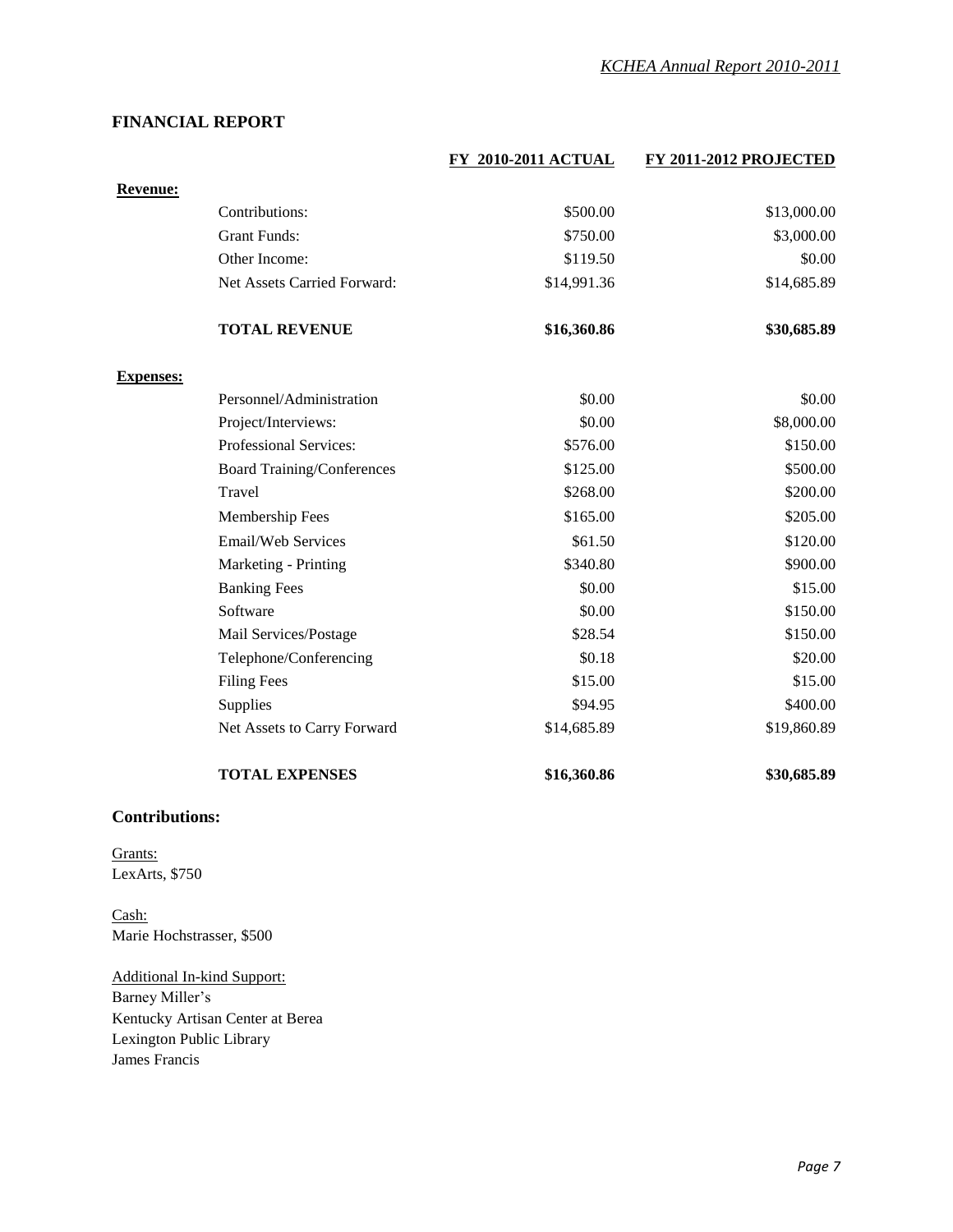#### **FINANCIAL REPORT**

|                  |                                   | FY 2010-2011 ACTUAL | FY 2011-2012 PROJECTED |
|------------------|-----------------------------------|---------------------|------------------------|
| <b>Revenue:</b>  |                                   |                     |                        |
|                  | Contributions:                    | \$500.00            | \$13,000.00            |
|                  | <b>Grant Funds:</b>               | \$750.00            | \$3,000.00             |
|                  | Other Income:                     | \$119.50            | \$0.00                 |
|                  | Net Assets Carried Forward:       | \$14,991.36         | \$14,685.89            |
|                  | <b>TOTAL REVENUE</b>              | \$16,360.86         | \$30,685.89            |
| <b>Expenses:</b> |                                   |                     |                        |
|                  | Personnel/Administration          | \$0.00              | \$0.00                 |
|                  | Project/Interviews:               | \$0.00              | \$8,000.00             |
|                  | Professional Services:            | \$576.00            | \$150.00               |
|                  | <b>Board Training/Conferences</b> | \$125.00            | \$500.00               |
|                  | Travel                            | \$268.00            | \$200.00               |
|                  | Membership Fees                   | \$165.00            | \$205.00               |
|                  | Email/Web Services                | \$61.50             | \$120.00               |
|                  | Marketing - Printing              | \$340.80            | \$900.00               |
|                  | <b>Banking Fees</b>               | \$0.00              | \$15.00                |
|                  | Software                          | \$0.00              | \$150.00               |
|                  | Mail Services/Postage             | \$28.54             | \$150.00               |
|                  | Telephone/Conferencing            | \$0.18              | \$20.00                |
|                  | <b>Filing Fees</b>                | \$15.00             | \$15.00                |
|                  | Supplies                          | \$94.95             | \$400.00               |
|                  | Net Assets to Carry Forward       | \$14,685.89         | \$19,860.89            |
|                  | <b>TOTAL EXPENSES</b>             | \$16,360.86         | \$30,685.89            |

#### **Contributions:**

Grants: LexArts, \$750

Cash: Marie Hochstrasser, \$500

Additional In-kind Support: Barney Miller's Kentucky Artisan Center at Berea Lexington Public Library James Francis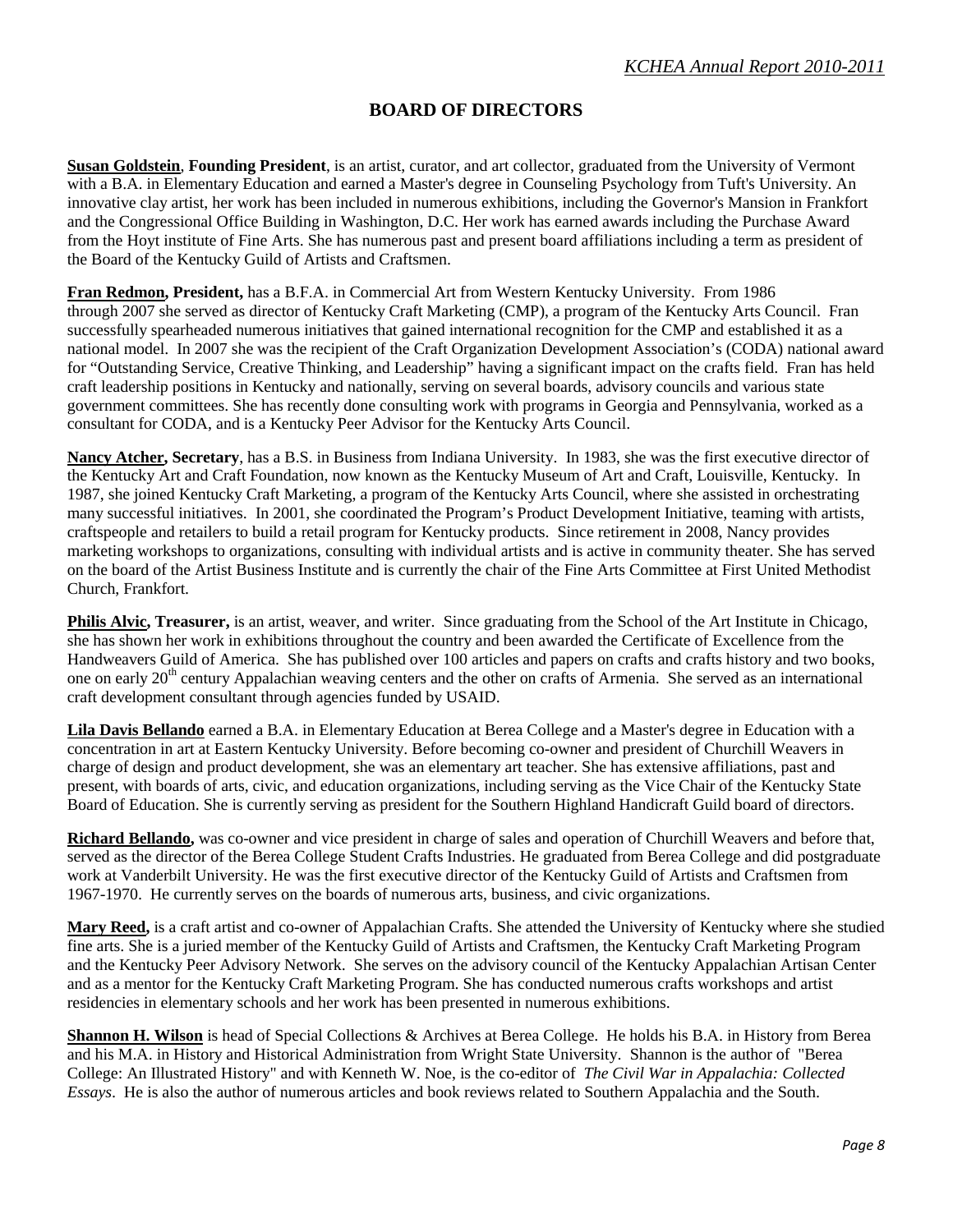#### **BOARD OF DIRECTORS**

**Susan Goldstein**, **Founding President**, is an artist, curator, and art collector, graduated from the University of Vermont with a B.A. in Elementary Education and earned a Master's degree in Counseling Psychology from Tuft's University. An innovative clay artist, her work has been included in numerous exhibitions, including the Governor's Mansion in Frankfort and the Congressional Office Building in Washington, D.C. Her work has earned awards including the Purchase Award from the Hoyt institute of Fine Arts. She has numerous past and present board affiliations including a term as president of the Board of the Kentucky Guild of Artists and Craftsmen.

**Fran Redmon, President,** has a B.F.A. in Commercial Art from Western Kentucky University. From 1986 through 2007 she served as director of Kentucky Craft Marketing (CMP), a program of the Kentucky Arts Council. Fran successfully spearheaded numerous initiatives that gained international recognition for the CMP and established it as a national model. In 2007 she was the recipient of the Craft Organization Development Association's (CODA) national award for "Outstanding Service, Creative Thinking, and Leadership" having a significant impact on the crafts field. Fran has held craft leadership positions in Kentucky and nationally, serving on several boards, advisory councils and various state government committees. She has recently done consulting work with programs in Georgia and Pennsylvania, worked as a consultant for CODA, and is a Kentucky Peer Advisor for the Kentucky Arts Council.

**Nancy Atcher, Secretary**, has a B.S. in Business from Indiana University. In 1983, she was the first executive director of the Kentucky Art and Craft Foundation, now known as the Kentucky Museum of Art and Craft, Louisville, Kentucky. In 1987, she joined Kentucky Craft Marketing, a program of the Kentucky Arts Council, where she assisted in orchestrating many successful initiatives. In 2001, she coordinated the Program's Product Development Initiative, teaming with artists, craftspeople and retailers to build a retail program for Kentucky products. Since retirement in 2008, Nancy provides marketing workshops to organizations, consulting with individual artists and is active in community theater. She has served on the board of the Artist Business Institute and is currently the chair of the Fine Arts Committee at First United Methodist Church, Frankfort.

**Philis Alvic, Treasurer,** is an artist, weaver, and writer. Since graduating from the School of the Art Institute in Chicago, she has shown her work in exhibitions throughout the country and been awarded the Certificate of Excellence from the Handweavers Guild of America. She has published over 100 articles and papers on crafts and crafts history and two books, one on early 20<sup>th</sup> century Appalachian weaving centers and the other on crafts of Armenia. She served as an international craft development consultant through agencies funded by USAID.

**Lila Davis Bellando** earned a B.A. in Elementary Education at Berea College and a Master's degree in Education with a concentration in art at Eastern Kentucky University. Before becoming co-owner and president of Churchill Weavers in charge of design and product development, she was an elementary art teacher. She has extensive affiliations, past and present, with boards of arts, civic, and education organizations, including serving as the Vice Chair of the Kentucky State Board of Education. She is currently serving as president for the Southern Highland Handicraft Guild board of directors.

**Richard Bellando,** was co-owner and vice president in charge of sales and operation of Churchill Weavers and before that, served as the director of the Berea College Student Crafts Industries. He graduated from Berea College and did postgraduate work at Vanderbilt University. He was the first executive director of the Kentucky Guild of Artists and Craftsmen from 1967-1970. He currently serves on the boards of numerous arts, business, and civic organizations.

**Mary Reed,** is a craft artist and co-owner of Appalachian Crafts. She attended the University of Kentucky where she studied fine arts. She is a juried member of the Kentucky Guild of Artists and Craftsmen, the Kentucky Craft Marketing Program and the Kentucky Peer Advisory Network. She serves on the advisory council of the Kentucky Appalachian Artisan Center and as a mentor for the Kentucky Craft Marketing Program. She has conducted numerous crafts workshops and artist residencies in elementary schools and her work has been presented in numerous exhibitions.

**Shannon H. Wilson** is head of Special Collections & Archives at Berea College. He holds his B.A. in History from Berea and his M.A. in History and Historical Administration from Wright State University. Shannon is the author of "Berea College: An Illustrated History" and with Kenneth W. Noe, is the co-editor of *The Civil War in Appalachia: Collected Essays*. He is also the author of numerous articles and book reviews related to Southern Appalachia and the South.